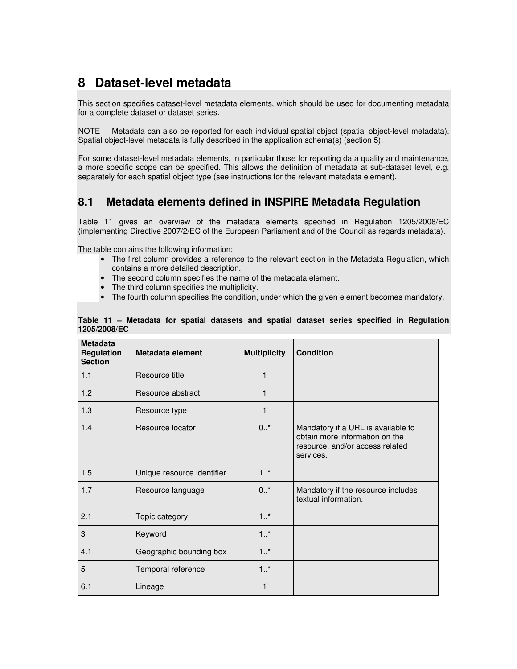# **8 Dataset-level metadata**

This section specifies dataset-level metadata elements, which should be used for documenting metadata for a complete dataset or dataset series.

NOTE Metadata can also be reported for each individual spatial object (spatial object-level metadata). Spatial object-level metadata is fully described in the application schema(s) (section 5).

For some dataset-level metadata elements, in particular those for reporting data quality and maintenance, a more specific scope can be specified. This allows the definition of metadata at sub-dataset level, e.g. separately for each spatial object type (see instructions for the relevant metadata element).

# **8.1 Metadata elements defined in INSPIRE Metadata Regulation**

Table 11 gives an overview of the metadata elements specified in Regulation 1205/2008/EC (implementing Directive 2007/2/EC of the European Parliament and of the Council as regards metadata).

The table contains the following information:

- The first column provides a reference to the relevant section in the Metadata Regulation, which contains a more detailed description.
- The second column specifies the name of the metadata element.
- The third column specifies the multiplicity.
- The fourth column specifies the condition, under which the given element becomes mandatory.

| <b>Metadata</b><br><b>Regulation</b><br><b>Section</b> | Metadata element           | <b>Multiplicity</b> | <b>Condition</b>                                                                                                     |
|--------------------------------------------------------|----------------------------|---------------------|----------------------------------------------------------------------------------------------------------------------|
| 1.1                                                    | Resource title             | 1                   |                                                                                                                      |
| 1.2                                                    | Resource abstract          | 1                   |                                                                                                                      |
| 1.3                                                    | Resource type              | 1                   |                                                                                                                      |
| 1.4                                                    | Resource locator           | $0.7*$              | Mandatory if a URL is available to<br>obtain more information on the<br>resource, and/or access related<br>services. |
| 1.5                                                    | Unique resource identifier | 1.1                 |                                                                                                                      |
| 1.7                                                    | Resource language          | $0.7*$              | Mandatory if the resource includes<br>textual information.                                                           |
| 2.1                                                    | Topic category             | $1.1$ *             |                                                                                                                      |
| 3                                                      | Keyword                    | $1.1$ *             |                                                                                                                      |
| 4.1                                                    | Geographic bounding box    | $1.1$ *             |                                                                                                                      |
| 5                                                      | Temporal reference         | $1.1$ *             |                                                                                                                      |
| 6.1                                                    | Lineage                    |                     |                                                                                                                      |

#### **Table 11 – Metadata for spatial datasets and spatial dataset series specified in Regulation 1205/2008/EC**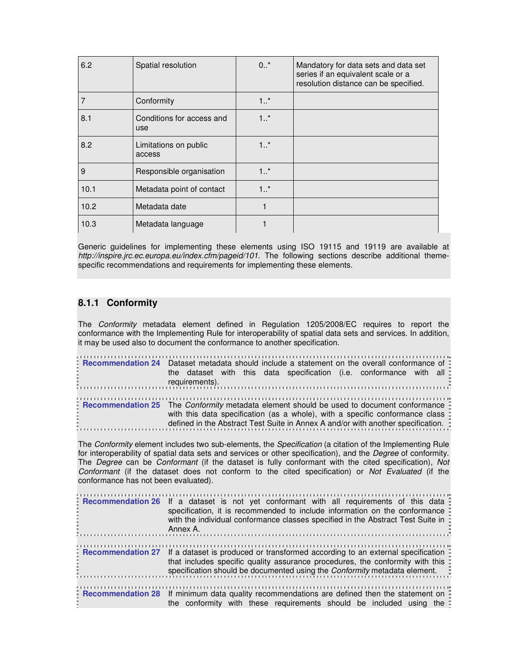| 6.2  | Spatial resolution               | $0.1$ * | Mandatory for data sets and data set<br>series if an equivalent scale or a<br>resolution distance can be specified. |
|------|----------------------------------|---------|---------------------------------------------------------------------------------------------------------------------|
|      | Conformity                       | 1.1     |                                                                                                                     |
| 8.1  | Conditions for access and<br>use | 1.1     |                                                                                                                     |
| 8.2  | Limitations on public<br>access  | 1.1     |                                                                                                                     |
| 9    | Responsible organisation         | 1.1     |                                                                                                                     |
| 10.1 | Metadata point of contact        | $1.1$ * |                                                                                                                     |
| 10.2 | Metadata date                    |         |                                                                                                                     |
| 10.3 | Metadata language                |         |                                                                                                                     |

Generic guidelines for implementing these elements using ISO 19115 and 19119 are available at http://inspire.jrc.ec.europa.eu/index.cfm/pageid/101. The following sections describe additional themespecific recommendations and requirements for implementing these elements.

### **8.1.1 Conformity**

The Conformity metadata element defined in Regulation 1205/2008/EC requires to report the conformance with the Implementing Rule for interoperability of spatial data sets and services. In addition, it may be used also to document the conformance to another specification.

| Recommendation 24 Dataset metadata should include a statement on the overall conformance of<br>the dataset with this data specification (i.e. conformance with all :                                                                                            |
|-----------------------------------------------------------------------------------------------------------------------------------------------------------------------------------------------------------------------------------------------------------------|
| E Recommendation 25 The Conformity metadata element should be used to document conformance<br>with this data specification (as a whole), with a specific conformance class:<br>defined in the Abstract Test Suite in Annex A and/or with another specification. |

The Conformity element includes two sub-elements, the Specification (a citation of the Implementing Rule for interoperability of spatial data sets and services or other specification), and the Degree of conformity. The Degree can be Conformant (if the dataset is fully conformant with the cited specification), Not Conformant (if the dataset does not conform to the cited specification) or Not Evaluated (if the conformance has not been evaluated).

|  | Recommendation 26 If a dataset is not yet conformant with all requirements of this data<br>specification, it is recommended to include information on the conformance =<br>with the individual conformance classes specified in the Abstract Test Suite in :<br>Annex A.   |
|--|----------------------------------------------------------------------------------------------------------------------------------------------------------------------------------------------------------------------------------------------------------------------------|
|  | . Recommendation 27 If a dataset is produced or transformed according to an external specification =<br>that includes specific quality assurance procedures, the conformity with this:<br>specification should be documented using the <i>Conformity</i> metadata element. |
|  | <b>Example 18 Example 18 If minimum data quality recommendations are defined then the statement on Example 28</b><br>the conformity with these requirements should be included using the                                                                                   |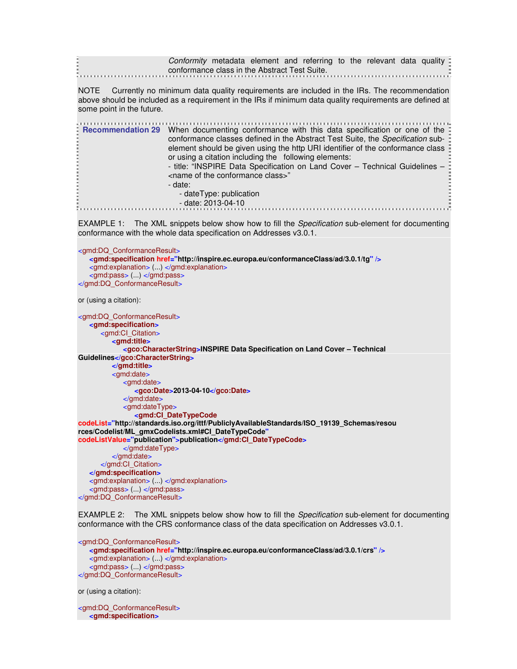| Conformity metadata element and referring to the relevant data quality: |  |  |  |  |  |
|-------------------------------------------------------------------------|--|--|--|--|--|
|                                                                         |  |  |  |  |  |
| conformance class in the Abstract Test Suite.                           |  |  |  |  |  |
|                                                                         |  |  |  |  |  |

NOTE Currently no minimum data quality requirements are included in the IRs. The recommendation above should be included as a requirement in the IRs if minimum data quality requirements are defined at some point in the future.

| conformance classes defined in the Abstract Test Suite, the Specification sub-<br>element should be given using the http URI identifier of the conformance class<br>or using a citation including the following elements:<br>- title: "INSPIRE Data Specification on Land Cover - Technical Guidelines -<br><name class="" conformance="" of="" the="">"<br/>- date:<br/>- dateType: publication<br/><math>-</math> date: 2013-04-10</name> |  | Fecommendation 29 When documenting conformance with this data specification or one of the |
|---------------------------------------------------------------------------------------------------------------------------------------------------------------------------------------------------------------------------------------------------------------------------------------------------------------------------------------------------------------------------------------------------------------------------------------------|--|-------------------------------------------------------------------------------------------|
|---------------------------------------------------------------------------------------------------------------------------------------------------------------------------------------------------------------------------------------------------------------------------------------------------------------------------------------------------------------------------------------------------------------------------------------------|--|-------------------------------------------------------------------------------------------|

EXAMPLE 1: The XML snippets below show how to fill the Specification sub-element for documenting conformance with the whole data specification on Addresses v3.0.1.

<gmd:DQ\_ConformanceResult> **<gmd:specification href="http://inspire.ec.europa.eu/conformanceClass/ad/3.0.1/tg" />** <gmd:explanation> (...) </gmd:explanation> <gmd:pass> (...) </gmd:pass> </gmd:DQ\_ConformanceResult> or (using a citation): <gmd:DQ\_ConformanceResult> **<gmd:specification>** <gmd:CI\_Citation>  **<gmd:title> <gco:CharacterString>INSPIRE Data Specification on Land Cover – Technical Guidelines</gco:CharacterString> </gmd:title>** <gmd:date> <gmd:date>  **<gco:Date>2013-04-10</gco:Date>** </gmd:date> <gmd:dateType>  **<gmd:CI\_DateTypeCode codeList="http://standards.iso.org/ittf/PubliclyAvailableStandards/ISO\_19139\_Schemas/resou rces/Codelist/ML\_gmxCodelists.xml#CI\_DateTypeCode" codeListValue="publication">publication</gmd:CI\_DateTypeCode>** </gmd:dateType> </gmd:date> </gmd:CI\_Citation> **</gmd:specification>** <gmd:explanation> (...) </gmd:explanation> <gmd:pass> (...) </gmd:pass> </gmd:DQ\_ConformanceResult>

EXAMPLE 2: The XML snippets below show how to fill the *Specification* sub-element for documenting conformance with the CRS conformance class of the data specification on Addresses v3.0.1.

<gmd:DQ\_ConformanceResult> **<gmd:specification href="http://inspire.ec.europa.eu/conformanceClass/ad/3.0.1/crs" />** <gmd:explanation> (...) </gmd:explanation> <gmd:pass> (...) </gmd:pass> </gmd:DQ\_ConformanceResult>

or (using a citation):

<gmd:DQ\_ConformanceResult> **<gmd:specification>**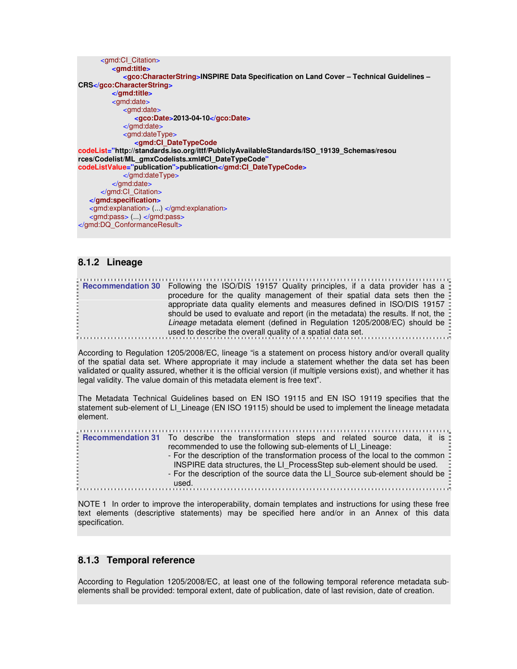```
 <gmd:CI_Citation>
          <gmd:title>
              <gco:CharacterString>INSPIRE Data Specification on Land Cover – Technical Guidelines – 
CRS</gco:CharacterString>
          </gmd:title>
          <gmd:date>
              <gmd:date>
                 <gco:Date>2013-04-10</gco:Date>
              </gmd:date>
              <gmd:dateType>
                 <gmd:CI_DateTypeCode
codeList="http://standards.iso.org/ittf/PubliclyAvailableStandards/ISO_19139_Schemas/resou 
rces/Codelist/ML_gmxCodelists.xml#CI_DateTypeCode"
codeListValue="publication">publication</gmd:CI_DateTypeCode>
             </gmd:dateType>
          </gmd:date>
       </gmd:CI_Citation>
   </gmd:specification>
   <gmd:explanation> (...) </gmd:explanation>
   <gmd:pass> (...) </gmd:pass>
</gmd:DQ_ConformanceResult>
```
### **8.1.2 Lineage**

**Recommendation 30** Following the ISO/DIS 19157 Quality principles, if a data provider has a procedure for the quality management of their spatial data sets then the appropriate data quality elements and measures defined in ISO/DIS 19157 should be used to evaluate and report (in the metadata) the results. If not, the Lineage metadata element (defined in Regulation 1205/2008/EC) should be used to describe the overall quality of a spatial data set.

According to Regulation 1205/2008/EC, lineage "is a statement on process history and/or overall quality of the spatial data set. Where appropriate it may include a statement whether the data set has been validated or quality assured, whether it is the official version (if multiple versions exist), and whether it has legal validity. The value domain of this metadata element is free text".

The Metadata Technical Guidelines based on EN ISO 19115 and EN ISO 19119 specifies that the statement sub-element of LI\_Lineage (EN ISO 19115) should be used to implement the lineage metadata element.

| <b>Recommendation 31</b> To describe the transformation steps and related source data, it is        |
|-----------------------------------------------------------------------------------------------------|
| recommended to use the following sub-elements of LI Lineage:                                        |
| - For the description of the transformation process of the local to the common $\ddot{\phantom{a}}$ |
| INSPIRE data structures, the LI ProcessStep sub-element should be used.                             |
| - For the description of the source data the LI Source sub-element should be :                      |
| used.                                                                                               |

NOTE 1 In order to improve the interoperability, domain templates and instructions for using these free text elements (descriptive statements) may be specified here and/or in an Annex of this data specification.

### **8.1.3 Temporal reference**

According to Regulation 1205/2008/EC, at least one of the following temporal reference metadata subelements shall be provided: temporal extent, date of publication, date of last revision, date of creation.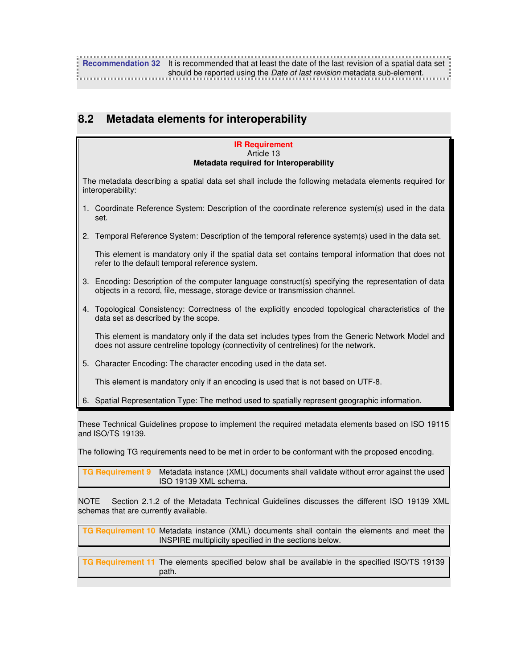# **8.2 Metadata elements for interoperability**

#### **IR Requirement**  Article 13 **Metadata required for Interoperability**

The metadata describing a spatial data set shall include the following metadata elements required for interoperability:

- 1. Coordinate Reference System: Description of the coordinate reference system(s) used in the data set.
- 2. Temporal Reference System: Description of the temporal reference system(s) used in the data set.

 This element is mandatory only if the spatial data set contains temporal information that does not refer to the default temporal reference system.

- 3. Encoding: Description of the computer language construct(s) specifying the representation of data objects in a record, file, message, storage device or transmission channel.
- 4. Topological Consistency: Correctness of the explicitly encoded topological characteristics of the data set as described by the scope.

 This element is mandatory only if the data set includes types from the Generic Network Model and does not assure centreline topology (connectivity of centrelines) for the network.

5. Character Encoding: The character encoding used in the data set.

This element is mandatory only if an encoding is used that is not based on UTF-8.

6. Spatial Representation Type: The method used to spatially represent geographic information.

These Technical Guidelines propose to implement the required metadata elements based on ISO 19115 and ISO/TS 19139.

The following TG requirements need to be met in order to be conformant with the proposed encoding.

| TG Requirement 9 Metadata instance (XML) documents shall validate without error against the used |
|--------------------------------------------------------------------------------------------------|
| ISO 19139 XML schema.                                                                            |

NOTE Section 2.1.2 of the Metadata Technical Guidelines discusses the different ISO 19139 XML schemas that are currently available.

| <b>TG Requirement 10</b> Metadata instance (XML) documents shall contain the elements and meet the<br>INSPIRE multiplicity specified in the sections below. |
|-------------------------------------------------------------------------------------------------------------------------------------------------------------|
| <b>TG Requirement 11</b> The elements specified below shall be available in the specified ISO/TS 19139<br>path.                                             |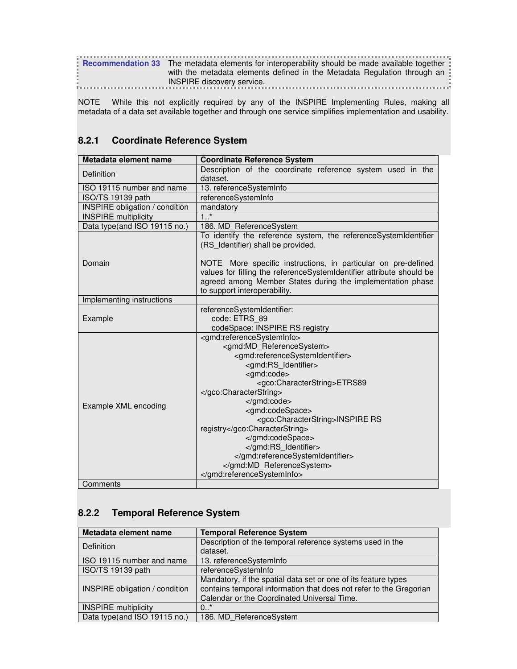|  | <b>Recommendation 33</b> The metadata elements for interoperability should be made available together |  |
|--|-------------------------------------------------------------------------------------------------------|--|
|  | with the metadata elements defined in the Metadata Regulation through an                              |  |
|  | <b>INSPIRE discovery service.</b>                                                                     |  |
|  |                                                                                                       |  |

NOTE While this not explicitly required by any of the INSPIRE Implementing Rules, making all metadata of a data set available together and through one service simplifies implementation and usability.

## **8.2.1 Coordinate Reference System**

| Metadata element name                 | <b>Coordinate Reference System</b>                                                                                                                                                                                                                                                                                                                                                                                                              |
|---------------------------------------|-------------------------------------------------------------------------------------------------------------------------------------------------------------------------------------------------------------------------------------------------------------------------------------------------------------------------------------------------------------------------------------------------------------------------------------------------|
| Definition                            | Description of the coordinate reference system used in the<br>dataset.                                                                                                                                                                                                                                                                                                                                                                          |
| ISO 19115 number and name             | 13. referenceSystemInfo                                                                                                                                                                                                                                                                                                                                                                                                                         |
| ISO/TS 19139 path                     | referenceSystemInfo                                                                                                                                                                                                                                                                                                                                                                                                                             |
| <b>INSPIRE</b> obligation / condition | mandatory                                                                                                                                                                                                                                                                                                                                                                                                                                       |
| <b>INSPIRE multiplicity</b>           | 1.1                                                                                                                                                                                                                                                                                                                                                                                                                                             |
| Data type(and ISO 19115 no.)          | 186. MD_ReferenceSystem                                                                                                                                                                                                                                                                                                                                                                                                                         |
|                                       | To identify the reference system, the referenceSystemIdentifier<br>(RS Identifier) shall be provided.                                                                                                                                                                                                                                                                                                                                           |
| Domain                                | NOTE More specific instructions, in particular on pre-defined<br>values for filling the referenceSystemIdentifier attribute should be<br>agreed among Member States during the implementation phase<br>to support interoperability.                                                                                                                                                                                                             |
| Implementing instructions             |                                                                                                                                                                                                                                                                                                                                                                                                                                                 |
| Example                               | referenceSystemIdentifier:<br>code: ETRS 89<br>codeSpace: INSPIRE RS registry                                                                                                                                                                                                                                                                                                                                                                   |
| Example XML encoding                  | <gmd:referencesysteminfo><br/><gmd:md_referencesystem><br/><gmd:referencesystemidentifier><br/><gmd:rs identifier=""><br/><gmd:code><br/><gco:characterstring>ETRS89<br/></gco:characterstring><br/></gmd:code><br/><gmd:codespace><br/><gco:characterstring>INSPIRE RS<br/>registry</gco:characterstring><br/></gmd:codespace><br/></gmd:rs><br/></gmd:referencesystemidentifier><br/><br/></gmd:md_referencesystem></gmd:referencesysteminfo> |
| Comments                              |                                                                                                                                                                                                                                                                                                                                                                                                                                                 |

**Comments** 

## **8.2.2 Temporal Reference System**

| Metadata element name                 | <b>Temporal Reference System</b>                                   |
|---------------------------------------|--------------------------------------------------------------------|
| Definition                            | Description of the temporal reference systems used in the          |
|                                       | dataset.                                                           |
| ISO 19115 number and name             | 13. referenceSystemInfo                                            |
| ISO/TS 19139 path                     | referenceSystemInfo                                                |
|                                       | Mandatory, if the spatial data set or one of its feature types     |
| <b>INSPIRE obligation / condition</b> | contains temporal information that does not refer to the Gregorian |
|                                       | Calendar or the Coordinated Universal Time.                        |
| <b>INSPIRE</b> multiplicity           | 0.7                                                                |
| Data type(and ISO 19115 no.)          | 186. MD ReferenceSystem                                            |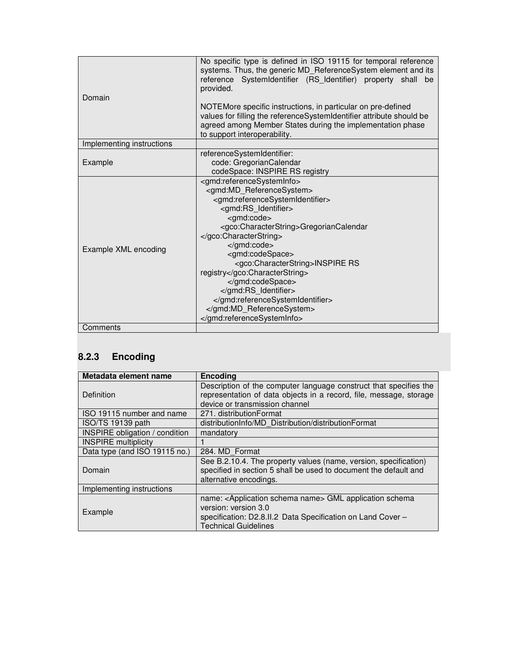| Domain                    | No specific type is defined in ISO 19115 for temporal reference<br>systems. Thus, the generic MD_ReferenceSystem element and its<br>reference SystemIdentifier (RS Identifier) property shall<br>be<br>provided.<br>NOTEMore specific instructions, in particular on pre-defined<br>values for filling the referenceSystemIdentifier attribute should be<br>agreed among Member States during the implementation phase<br>to support interoperability. |
|---------------------------|--------------------------------------------------------------------------------------------------------------------------------------------------------------------------------------------------------------------------------------------------------------------------------------------------------------------------------------------------------------------------------------------------------------------------------------------------------|
| Implementing instructions |                                                                                                                                                                                                                                                                                                                                                                                                                                                        |
| Example                   | referenceSystemIdentifier:<br>code: GregorianCalendar<br>codeSpace: INSPIRE RS registry                                                                                                                                                                                                                                                                                                                                                                |
| Example XML encoding      | <gmd:referencesysteminfo><br/><gmd:md referencesystem=""><br/><gmd:referencesystemidentifier><br/><gmd:rs identifier=""><br/><gmd:code><br/><gco:characterstring>GregorianCalendar<br/></gco:characterstring><br/></gmd:code><br/><gmd:codespace><br/><gco:characterstring>INSPIRE RS<br/>registry</gco:characterstring><br/></gmd:codespace><br/></gmd:rs><br/></gmd:referencesystemidentifier><br/><br/></gmd:md></gmd:referencesysteminfo>          |
| Comments                  |                                                                                                                                                                                                                                                                                                                                                                                                                                                        |

# **8.2.3 Encoding**

| Metadata element name                 | <b>Encoding</b>                                                                                                                                                                                     |
|---------------------------------------|-----------------------------------------------------------------------------------------------------------------------------------------------------------------------------------------------------|
| Definition                            | Description of the computer language construct that specifies the<br>representation of data objects in a record, file, message, storage<br>device or transmission channel                           |
| ISO 19115 number and name             | 271. distributionFormat                                                                                                                                                                             |
| ISO/TS 19139 path                     | distributionInfo/MD Distribution/distributionFormat                                                                                                                                                 |
| <b>INSPIRE obligation / condition</b> | mandatory                                                                                                                                                                                           |
| <b>INSPIRE</b> multiplicity           |                                                                                                                                                                                                     |
| Data type (and ISO 19115 no.)         | 284. MD Format                                                                                                                                                                                      |
| Domain                                | See B.2.10.4. The property values (name, version, specification)<br>specified in section 5 shall be used to document the default and<br>alternative encodings.                                      |
| Implementing instructions             |                                                                                                                                                                                                     |
| Example                               | name: <application name="" schema=""> GML application schema<br/>version: version 3.0<br/>specification: D2.8.II.2 Data Specification on Land Cover -<br/><b>Technical Guidelines</b></application> |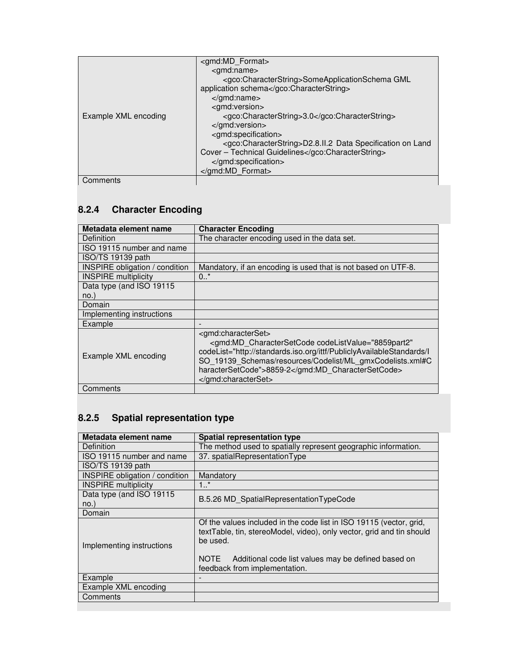|                      | <gmd:md_format></gmd:md_format>                                                 |
|----------------------|---------------------------------------------------------------------------------|
|                      | <gmd:name></gmd:name>                                                           |
|                      | <gco:characterstring>SomeApplicationSchema GML</gco:characterstring>            |
|                      | application schema                                                              |
|                      |                                                                                 |
|                      | <gmd:version></gmd:version>                                                     |
| Example XML encoding | <gco:characterstring>3.0</gco:characterstring>                                  |
|                      |                                                                                 |
|                      | <gmd:specification></gmd:specification>                                         |
|                      | <gco:characterstring>D2.8.II.2 Data Specification on Land</gco:characterstring> |
|                      | Cover - Technical Guidelines                                                    |
|                      |                                                                                 |
|                      |                                                                                 |
| Comments             |                                                                                 |

**Comments** 

## **8.2.4 Character Encoding**

| Metadata element name                 | <b>Character Encoding</b>                                                                                                                                                                                                                                                              |
|---------------------------------------|----------------------------------------------------------------------------------------------------------------------------------------------------------------------------------------------------------------------------------------------------------------------------------------|
| Definition                            | The character encoding used in the data set.                                                                                                                                                                                                                                           |
| ISO 19115 number and name             |                                                                                                                                                                                                                                                                                        |
| ISO/TS 19139 path                     |                                                                                                                                                                                                                                                                                        |
| <b>INSPIRE</b> obligation / condition | Mandatory, if an encoding is used that is not based on UTF-8.                                                                                                                                                                                                                          |
| <b>INSPIRE</b> multiplicity           | $0.7*$                                                                                                                                                                                                                                                                                 |
| Data type (and ISO 19115              |                                                                                                                                                                                                                                                                                        |
| no.                                   |                                                                                                                                                                                                                                                                                        |
| Domain                                |                                                                                                                                                                                                                                                                                        |
| Implementing instructions             |                                                                                                                                                                                                                                                                                        |
| Example                               |                                                                                                                                                                                                                                                                                        |
| Example XML encoding                  | <gmd:characterset><br/><gmd:md <br="" charactersetcode="" codelistvalue="8859part2">codeList="http://standards.iso.org/ittf/PubliclyAvailableStandards/l<br/>SO 19139 Schemas/resources/Codelist/ML gmxCodelists.xml#C<br/>haracterSetCode"&gt;8859-2</gmd:md><br/></gmd:characterset> |
| Comments                              |                                                                                                                                                                                                                                                                                        |

# **8.2.5 Spatial representation type**

| Metadata element name                 | <b>Spatial representation type</b>                                                                                                                       |
|---------------------------------------|----------------------------------------------------------------------------------------------------------------------------------------------------------|
| Definition                            | The method used to spatially represent geographic information.                                                                                           |
| ISO 19115 number and name             | 37. spatialRepresentationType                                                                                                                            |
| ISO/TS 19139 path                     |                                                                                                                                                          |
| <b>INSPIRE</b> obligation / condition | Mandatory                                                                                                                                                |
| <b>INSPIRE</b> multiplicity           | 1.1                                                                                                                                                      |
| Data type (and ISO 19115              | B.5.26 MD SpatialRepresentationTypeCode                                                                                                                  |
| no.)                                  |                                                                                                                                                          |
| Domain                                |                                                                                                                                                          |
| Implementing instructions             | Of the values included in the code list in ISO 19115 (vector, grid,<br>textTable, tin, stereoModel, video), only vector, grid and tin should<br>be used. |
|                                       | NOTE Additional code list values may be defined based on<br>feedback from implementation.                                                                |
| Example                               |                                                                                                                                                          |
| Example XML encoding                  |                                                                                                                                                          |
| Comments                              |                                                                                                                                                          |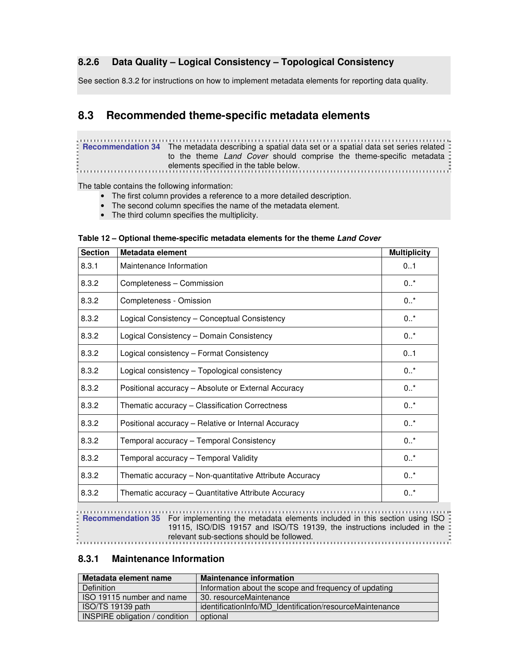## **8.2.6 Data Quality – Logical Consistency – Topological Consistency**

See section 8.3.2 for instructions on how to implement metadata elements for reporting data quality.

# **8.3 Recommended theme-specific metadata elements**

**Recommendation 34** The metadata describing a spatial data set or a spatial data set series related to the theme Land Cover should comprise the theme-specific metadata elements specified in the table below.

The table contains the following information:

- The first column provides a reference to a more detailed description.
- The second column specifies the name of the metadata element.<br>• The third column specifies the multiplicity.
- The third column specifies the multiplicity.

| <b>Section</b> | Metadata element                                        | <b>Multiplicity</b> |
|----------------|---------------------------------------------------------|---------------------|
| 8.3.1          | Maintenance Information                                 | 01                  |
| 8.3.2          | Completeness - Commission                               | $0.7*$              |
| 8.3.2          | Completeness - Omission                                 | $0.1*$              |
| 8.3.2          | Logical Consistency - Conceptual Consistency            | $0.7*$              |
| 8.3.2          | Logical Consistency - Domain Consistency                | $0.7*$              |
| 8.3.2          | Logical consistency - Format Consistency                | 0.1                 |
| 8.3.2          | Logical consistency - Topological consistency           | $0.1*$              |
| 8.3.2          | Positional accuracy - Absolute or External Accuracy     | $0.7*$              |
| 8.3.2          | Thematic accuracy - Classification Correctness          | $0.7*$              |
| 8.3.2          | Positional accuracy - Relative or Internal Accuracy     | $0.7*$              |
| 8.3.2          | Temporal accuracy - Temporal Consistency                | $0.7*$              |
| 8.3.2          | Temporal accuracy - Temporal Validity                   | $0.7*$              |
| 8.3.2          | Thematic accuracy - Non-quantitative Attribute Accuracy | $0.7*$              |
| 8.3.2          | Thematic accuracy - Quantitative Attribute Accuracy     | $0.7*$              |
|                |                                                         |                     |

### **Table 12 – Optional theme-specific metadata elements for the theme Land Cover**

**Recommendation 35** For implementing the metadata elements included in this section using ISO  $\frac{3}{5}$ 19115, ISO/DIS 19157 and ISO/TS 19139, the instructions included in the relevant sub-sections should be followed.

### **8.3.1 Maintenance Information**

| Metadata element name                 | <b>Maintenance information</b>                           |
|---------------------------------------|----------------------------------------------------------|
| Definition                            | Information about the scope and frequency of updating    |
| ISO 19115 number and name             | 30. resourceMaintenance                                  |
| ISO/TS 19139 path                     | identificationInfo/MD Identification/resourceMaintenance |
| <b>INSPIRE obligation / condition</b> | optional                                                 |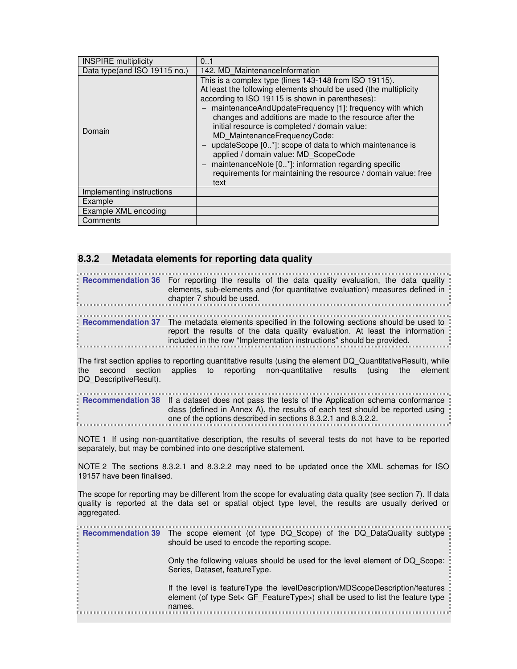| <b>INSPIRE</b> multiplicity  | 0.1                                                                                                                                                                                                                                                                                                                                                                                                                                                                                                                                                                                                                         |
|------------------------------|-----------------------------------------------------------------------------------------------------------------------------------------------------------------------------------------------------------------------------------------------------------------------------------------------------------------------------------------------------------------------------------------------------------------------------------------------------------------------------------------------------------------------------------------------------------------------------------------------------------------------------|
| Data type(and ISO 19115 no.) | 142. MD MaintenanceInformation                                                                                                                                                                                                                                                                                                                                                                                                                                                                                                                                                                                              |
| Domain                       | This is a complex type (lines 143-148 from ISO 19115).<br>At least the following elements should be used (the multiplicity<br>according to ISO 19115 is shown in parentheses):<br>maintenanceAndUpdateFrequency [1]: frequency with which<br>changes and additions are made to the resource after the<br>initial resource is completed / domain value:<br>MD MaintenanceFrequencyCode:<br>updateScope [0*]: scope of data to which maintenance is<br>applied / domain value: MD ScopeCode<br>maintenanceNote [0*]: information regarding specific<br>requirements for maintaining the resource / domain value: free<br>text |
| Implementing instructions    |                                                                                                                                                                                                                                                                                                                                                                                                                                                                                                                                                                                                                             |
| Example                      |                                                                                                                                                                                                                                                                                                                                                                                                                                                                                                                                                                                                                             |
| Example XML encoding         |                                                                                                                                                                                                                                                                                                                                                                                                                                                                                                                                                                                                                             |
| Comments                     |                                                                                                                                                                                                                                                                                                                                                                                                                                                                                                                                                                                                                             |

### **8.3.2 Metadata elements for reporting data quality**

| <b>Example Figure 1.1 Follog Fram</b> For reporting the results of the data quality evaluation, the data quality =<br>elements, sub-elements and (for quantitative evaluation) measures defined in $\frac{1}{2}$<br>chapter 7 should be used.                                                                                                                                                 |
|-----------------------------------------------------------------------------------------------------------------------------------------------------------------------------------------------------------------------------------------------------------------------------------------------------------------------------------------------------------------------------------------------|
| <b>Example 13 Ferror Figure 13 Ferror 13 Ferror</b> 17 Ferror 15 Ferror 15 Ferror 15 Ferror 15 Ferror 15 Ferror 15 Ferror 15 Ferror 15 Ferror 15 Ferror 15 Ferror 15 Ferror 15 Ferror 15 Ferror 15 Ferror 15 Ferror 15 Ferror 15 Fe<br>report the results of the data quality evaluation. At least the information :<br>included in the row "Implementation instructions" should be provided. |

The first section applies to reporting quantitative results (using the element DQ\_QuantitativeResult), while the second section applies to reporting non-quantitative results (using the element DQ\_DescriptiveResult).

| E Recommendation 38 If a dataset does not pass the tests of the Application schema conformance = |  |
|--------------------------------------------------------------------------------------------------|--|
| class (defined in Annex A), the results of each test should be reported using $\frac{1}{2}$      |  |
| one of the options described in sections 8.3.2.1 and 8.3.2.2.                                    |  |
|                                                                                                  |  |

NOTE 1 If using non-quantitative description, the results of several tests do not have to be reported separately, but may be combined into one descriptive statement.

NOTE 2 The sections 8.3.2.1 and 8.3.2.2 may need to be updated once the XML schemas for ISO 19157 have been finalised.

The scope for reporting may be different from the scope for evaluating data quality (see section 7). If data quality is reported at the data set or spatial object type level, the results are usually derived or aggregated.

| <b>Recommendation 39</b> The scope element (of type DQ_Scope) of the DQ_DataQuality subtype<br>should be used to encode the reporting scope.                                |
|-----------------------------------------------------------------------------------------------------------------------------------------------------------------------------|
| Only the following values should be used for the level element of DQ Scope:<br>Series, Dataset, featureType.                                                                |
| If the level is feature Type the level Description/MDScope Description/features<br>element (of type Set< GF Feature Type>) shall be used to list the feature type<br>names. |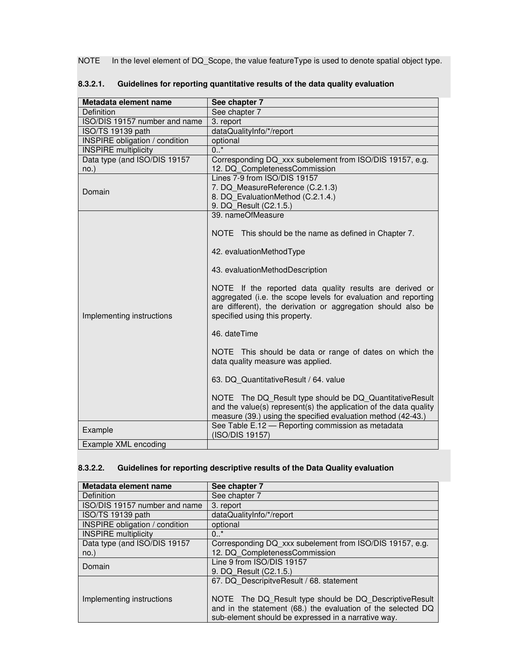NOTE In the level element of DQ\_Scope, the value featureType is used to denote spatial object type.

| Metadata element name                 | See chapter 7                                                                                                                                                                                                                                                   |
|---------------------------------------|-----------------------------------------------------------------------------------------------------------------------------------------------------------------------------------------------------------------------------------------------------------------|
| Definition                            | See chapter 7                                                                                                                                                                                                                                                   |
| ISO/DIS 19157 number and name         | 3. report                                                                                                                                                                                                                                                       |
| ISO/TS 19139 path                     | dataQualityInfo/*/report                                                                                                                                                                                                                                        |
| <b>INSPIRE</b> obligation / condition | optional                                                                                                                                                                                                                                                        |
| <b>INSPIRE</b> multiplicity           | $0.$ *                                                                                                                                                                                                                                                          |
| Data type (and ISO/DIS 19157          | Corresponding DQ xxx subelement from ISO/DIS 19157, e.g.                                                                                                                                                                                                        |
| $no.$ )                               | 12. DQ CompletenessCommission                                                                                                                                                                                                                                   |
| Domain                                | Lines 7-9 from ISO/DIS 19157<br>7. DQ MeasureReference (C.2.1.3)<br>8. DQ EvaluationMethod (C.2.1.4.)<br>9. DQ Result (C2.1.5.)                                                                                                                                 |
|                                       | 39. nameOfMeasure<br>NOTE This should be the name as defined in Chapter 7.<br>42. evaluationMethodType                                                                                                                                                          |
| Implementing instructions             | 43. evaluationMethodDescription<br>NOTE If the reported data quality results are derived or<br>aggregated (i.e. the scope levels for evaluation and reporting<br>are different), the derivation or aggregation should also be<br>specified using this property. |
|                                       | 46. dateTime                                                                                                                                                                                                                                                    |
|                                       | NOTE This should be data or range of dates on which the<br>data quality measure was applied.                                                                                                                                                                    |
|                                       | 63. DQ QuantitativeResult / 64. value                                                                                                                                                                                                                           |
|                                       | NOTE The DQ_Result type should be DQ_QuantitativeResult<br>and the value(s) represent(s) the application of the data quality<br>measure (39.) using the specified evaluation method (42-43.)                                                                    |
| Example                               | See Table E.12 - Reporting commission as metadata<br>(ISO/DIS 19157)                                                                                                                                                                                            |
| Example XML encoding                  |                                                                                                                                                                                                                                                                 |

### **8.3.2.1. Guidelines for reporting quantitative results of the data quality evaluation**

## **8.3.2.2. Guidelines for reporting descriptive results of the Data Quality evaluation**

| Metadata element name                 | See chapter 7                                                |
|---------------------------------------|--------------------------------------------------------------|
| Definition                            | See chapter 7                                                |
| ISO/DIS 19157 number and name         | 3. report                                                    |
| ISO/TS 19139 path                     | dataQualityInfo/*/report                                     |
| <b>INSPIRE obligation / condition</b> | optional                                                     |
| <b>INSPIRE</b> multiplicity           | $0.7*$                                                       |
| Data type (and ISO/DIS 19157          | Corresponding DQ xxx subelement from ISO/DIS 19157, e.g.     |
| $no.$ )                               | 12. DQ CompletenessCommission                                |
| Domain                                | Line 9 from ISO/DIS 19157                                    |
|                                       | 9. DQ Result (C2.1.5.)                                       |
|                                       | 67. DQ DescripitveResult / 68. statement                     |
|                                       |                                                              |
| Implementing instructions             | NOTE The DQ_Result type should be DQ_DescriptiveResult       |
|                                       | and in the statement (68.) the evaluation of the selected DQ |
|                                       | sub-element should be expressed in a narrative way.          |